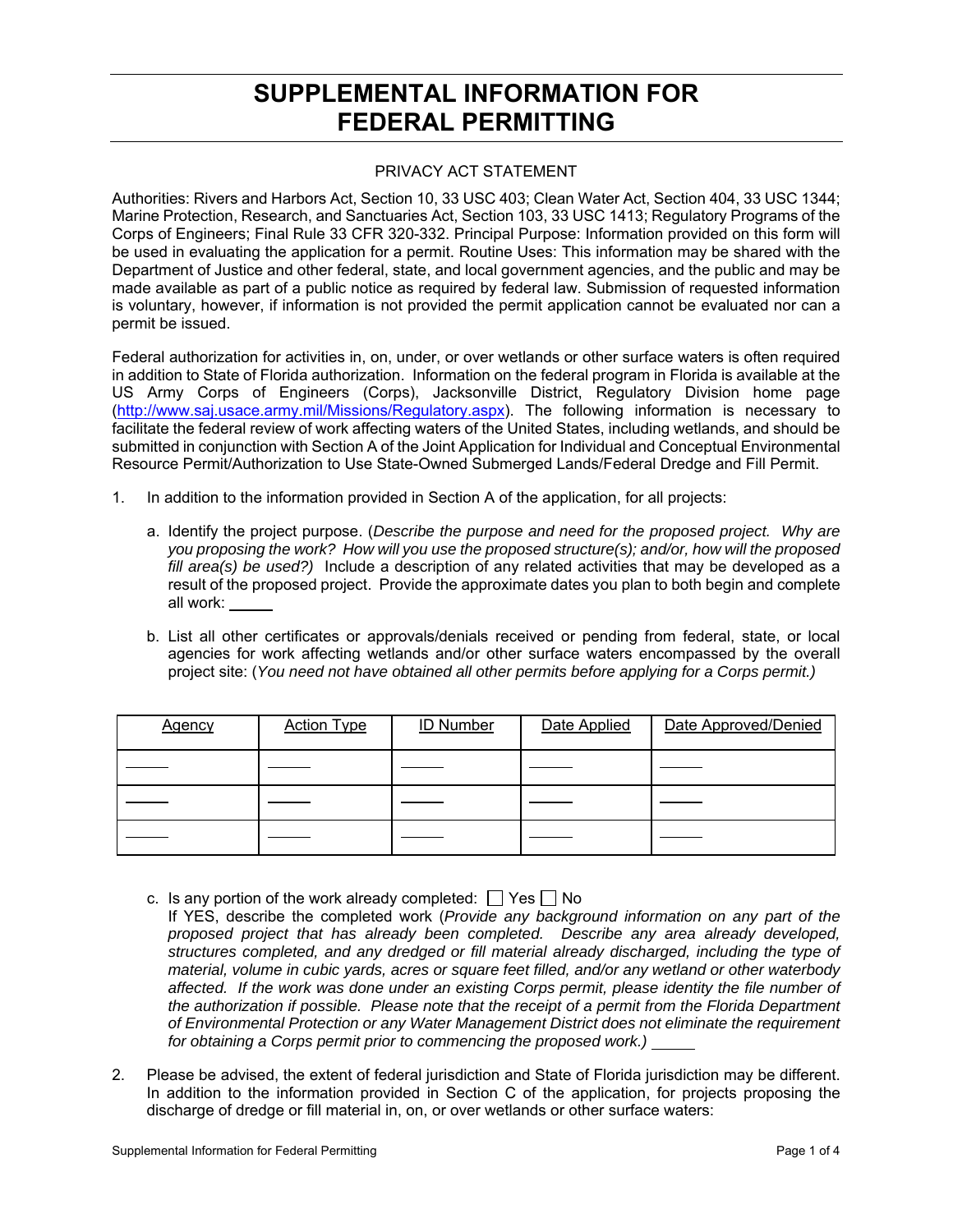## **SUPPLEMENTAL INFORMATION FOR FEDERAL PERMITTING**

## PRIVACY ACT STATEMENT

Authorities: Rivers and Harbors Act, Section 10, 33 USC 403; Clean Water Act, Section 404, 33 USC 1344; Marine Protection, Research, and Sanctuaries Act, Section 103, 33 USC 1413; Regulatory Programs of the Corps of Engineers; Final Rule 33 CFR 320-332. Principal Purpose: Information provided on this form will be used in evaluating the application for a permit. Routine Uses: This information may be shared with the Department of Justice and other federal, state, and local government agencies, and the public and may be made available as part of a public notice as required by federal law. Submission of requested information is voluntary, however, if information is not provided the permit application cannot be evaluated nor can a permit be issued.

Federal authorization for activities in, on, under, or over wetlands or other surface waters is often required in addition to State of Florida authorization. Information on the federal program in Florida is available at the US Army Corps of Engineers (Corps), Jacksonville District, Regulatory Division home page (http://www.saj.usace.army.mil/Missions/Regulatory.aspx). The following information is necessary to facilitate the federal review of work affecting waters of the United States, including wetlands, and should be submitted in conjunction with Section A of the Joint Application for Individual and Conceptual Environmental Resource Permit/Authorization to Use State-Owned Submerged Lands/Federal Dredge and Fill Permit.

- 1. In addition to the information provided in Section A of the application, for all projects:
	- a. Identify the project purpose. (*Describe the purpose and need for the proposed project. Why are you proposing the work? How will you use the proposed structure(s); and/or, how will the proposed fill area(s) be used?)* Include a description of any related activities that may be developed as a result of the proposed project. Provide the approximate dates you plan to both begin and complete all work:
	- b. List all other certificates or approvals/denials received or pending from federal, state, or local agencies for work affecting wetlands and/or other surface waters encompassed by the overall project site: (*You need not have obtained all other permits before applying for a Corps permit.)*

| <b>Agency</b> | <b>Action Type</b> | <b>ID Number</b> | Date Applied | Date Approved/Denied |
|---------------|--------------------|------------------|--------------|----------------------|
|               |                    |                  |              |                      |
|               |                    |                  |              |                      |
|               |                    |                  |              |                      |

- c. Is any portion of the work already completed:  $\Box$  Yes  $\Box$  No
- If YES, describe the completed work (*Provide any background information on any part of the proposed project that has already been completed. Describe any area already developed, structures completed, and any dredged or fill material already discharged, including the type of material, volume in cubic yards, acres or square feet filled, and/or any wetland or other waterbody affected. If the work was done under an existing Corps permit, please identity the file number of the authorization if possible. Please note that the receipt of a permit from the Florida Department of Environmental Protection or any Water Management District does not eliminate the requirement for obtaining a Corps permit prior to commencing the proposed work.)*
- 2. Please be advised, the extent of federal jurisdiction and State of Florida jurisdiction may be different. In addition to the information provided in Section C of the application, for projects proposing the discharge of dredge or fill material in, on, or over wetlands or other surface waters: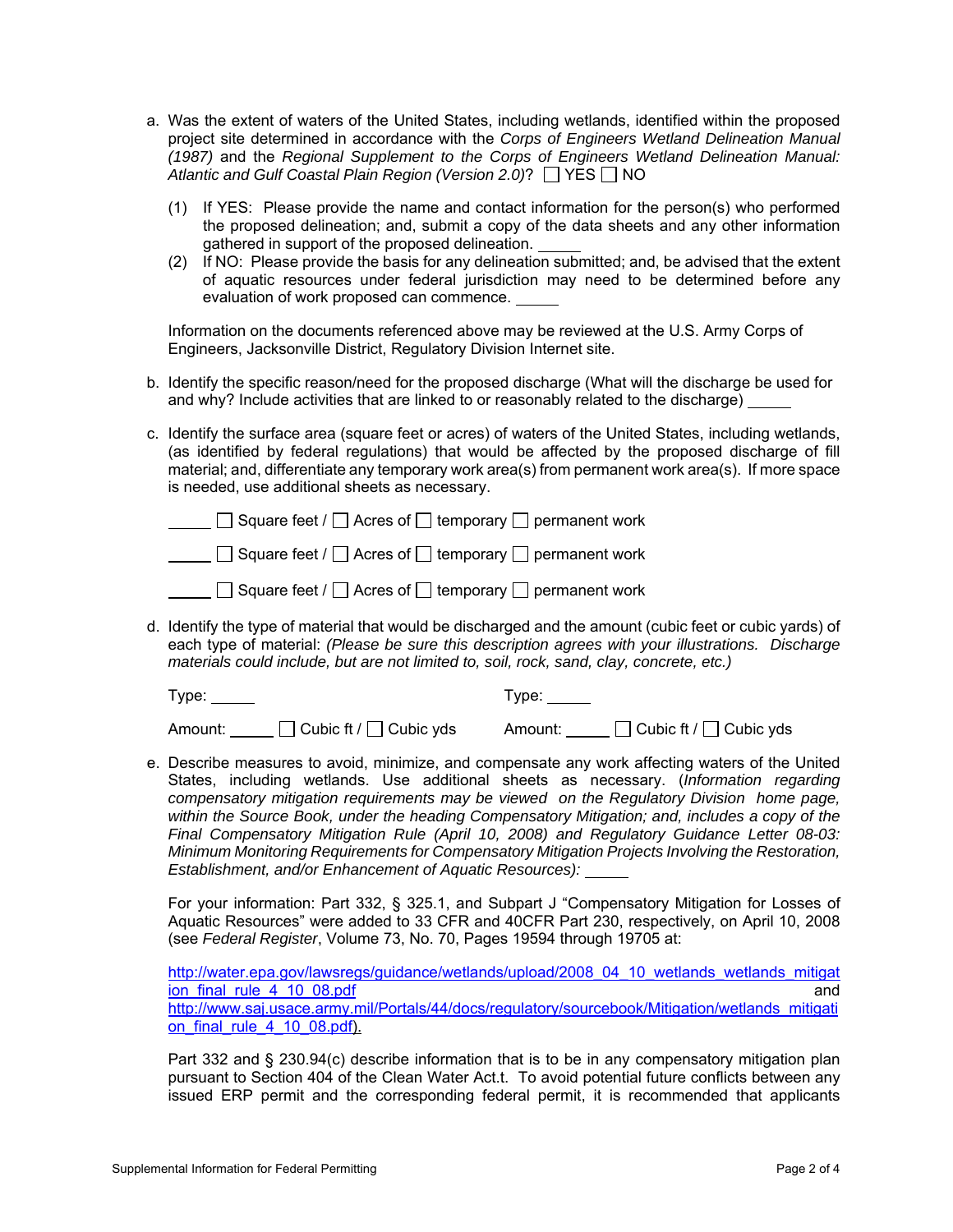- a. Was the extent of waters of the United States, including wetlands, identified within the proposed project site determined in accordance with the *Corps of Engineers Wetland Delineation Manual (1987)* and the *Regional Supplement to the Corps of Engineers Wetland Delineation Manual:*  Atlantic and Gulf Coastal Plain Region (Version 2.0)?  $\Box$  YES  $\Box$  NO
	- (1) If YES: Please provide the name and contact information for the person(s) who performed the proposed delineation; and, submit a copy of the data sheets and any other information gathered in support of the proposed delineation.
	- (2) If NO: Please provide the basis for any delineation submitted; and, be advised that the extent of aquatic resources under federal jurisdiction may need to be determined before any evaluation of work proposed can commence.

Information on the documents referenced above may be reviewed at the U.S. Army Corps of Engineers, Jacksonville District, Regulatory Division Internet site.

- b. Identify the specific reason/need for the proposed discharge (What will the discharge be used for and why? Include activities that are linked to or reasonably related to the discharge)
- c. Identify the surface area (square feet or acres) of waters of the United States, including wetlands, (as identified by federal regulations) that would be affected by the proposed discharge of fill material; and, differentiate any temporary work area(s) from permanent work area(s). If more space is needed, use additional sheets as necessary.

|  |  | $\Box$ Square feet / $\Box$ Acres of $\Box$ temporary $\Box$ permanent work |
|--|--|-----------------------------------------------------------------------------|
|  |  | $\Box$ Square feet / $\Box$ Acres of $\Box$ temporary $\Box$ permanent work |

| $\Box$ Square feet / $\Box$ Acres of $\Box$ temporary $\Box$ permanent work |  |
|-----------------------------------------------------------------------------|--|
|-----------------------------------------------------------------------------|--|

d. Identify the type of material that would be discharged and the amount (cubic feet or cubic yards) of each type of material: *(Please be sure this description agrees with your illustrations. Discharge materials could include, but are not limited to, soil, rock, sand, clay, concrete, etc.)*

Type: Type:

Amount: Cubic ft / Cubic yds Amount: Cubic ft / Cubic yds

e. Describe measures to avoid, minimize, and compensate any work affecting waters of the United States, including wetlands. Use additional sheets as necessary. (*Information regarding compensatory mitigation requirements may be viewed on the Regulatory Division home page, within the Source Book, under the heading Compensatory Mitigation; and, includes a copy of the Final Compensatory Mitigation Rule (April 10, 2008) and Regulatory Guidance Letter 08-03: Minimum Monitoring Requirements for Compensatory Mitigation Projects Involving the Restoration, Establishment, and/or Enhancement of Aquatic Resources):*

For your information: Part 332, § 325.1, and Subpart J "Compensatory Mitigation for Losses of Aquatic Resources" were added to 33 CFR and 40CFR Part 230, respectively, on April 10, 2008 (see *Federal Register*, Volume 73, No. 70, Pages 19594 through 19705 at:

http://water.epa.gov/lawsregs/guidance/wetlands/upload/2008\_04\_10\_wetlands\_wetlands\_mitigat ion\_final\_rule\_4\_10\_08.pdf and http://www.saj.usace.army.mil/Portals/44/docs/regulatory/sourcebook/Mitigation/wetlands\_mitigati on final rule  $4$  10 08.pdf).

Part 332 and § 230.94(c) describe information that is to be in any compensatory mitigation plan pursuant to Section 404 of the Clean Water Act.t. To avoid potential future conflicts between any issued ERP permit and the corresponding federal permit, it is recommended that applicants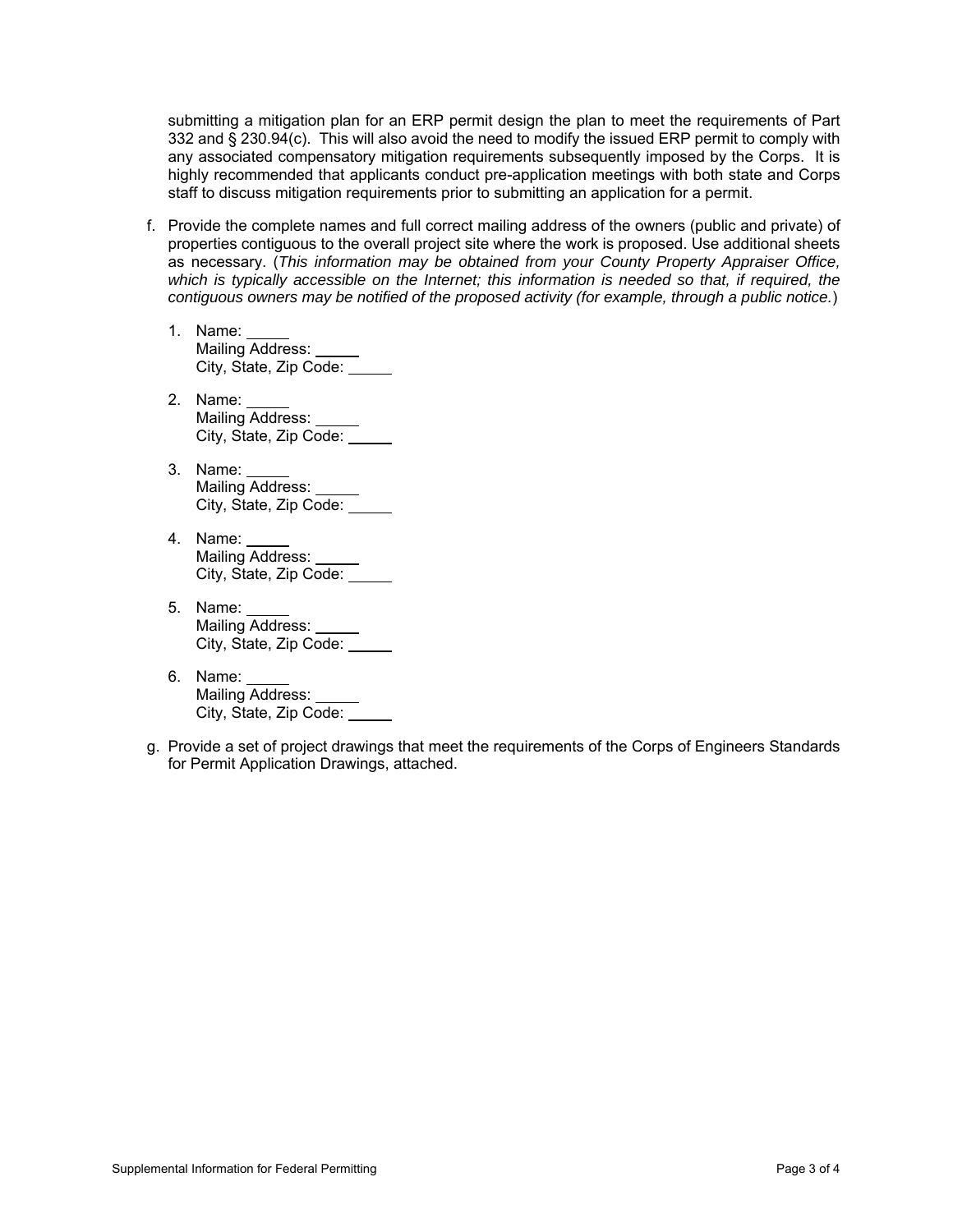submitting a mitigation plan for an ERP permit design the plan to meet the requirements of Part 332 and § 230.94(c). This will also avoid the need to modify the issued ERP permit to comply with any associated compensatory mitigation requirements subsequently imposed by the Corps. It is highly recommended that applicants conduct pre-application meetings with both state and Corps staff to discuss mitigation requirements prior to submitting an application for a permit.

- f. Provide the complete names and full correct mailing address of the owners (public and private) of properties contiguous to the overall project site where the work is proposed. Use additional sheets as necessary. (*This information may be obtained from your County Property Appraiser Office,*  which is typically accessible on the Internet; this information is needed so that, if required, the *contiguous owners may be notified of the proposed activity (for example, through a public notice.*)
	- 1. Name: Mailing Address: City, State, Zip Code:
	- 2. Name: Mailing Address: City, State, Zip Code:
	- 3. Name: Name. \_\_\_\_\_<br>Mailing Address: \_\_\_\_\_ City, State, Zip Code:
	- 4. Name: Mailing Address: City, State, Zip Code:
	- 5. Name: Mailing Address: \_\_\_\_\_\_ City, State, Zip Code:
	- 6. Name: Mailing Address: City, State, Zip Code:
- g. Provide a set of project drawings that meet the requirements of the Corps of Engineers Standards for Permit Application Drawings, attached.